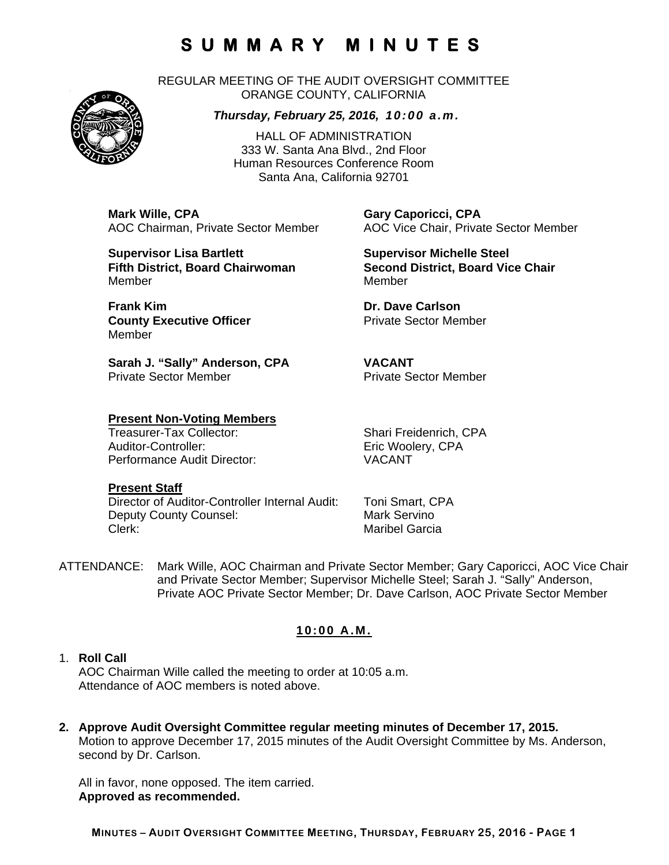REGULAR MEETING OF THE AUDIT OVERSIGHT COMMITTEE ORANGE COUNTY, CALIFORNIA

#### *Thursday, February 25, 2016, 10:00 a.m.*

HALL OF ADMINISTRATION 333 W. Santa Ana Blvd., 2nd Floor Human Resources Conference Room Santa Ana, California 92701

**Mark Wille, CPA Gary Caporicci, CPA**

**Supervisor Lisa Bartlett Supervisor Michelle Steel Supervisor Michelle Steel** MemberMember

**Frank Kim Communication Communication Carlson** Dr. Dave Carlson **County Executive Officer Private Sector Member** Member

**Sarah J. "Sally" Anderson, CPA VACANT**  Private Sector Member **Private Sector Member** 

# **Present Non-Voting Members**

Auditor-Controller: Eric Woolery, CPA Performance Audit Director: VACANT

#### **Present Staff**

Director of Auditor-Controller Internal Audit: Toni Smart, CPA Deputy County Counsel: Mark Servino Clerk: Clerk: Clerk: Maribel Garcia

AOC Chairman, Private Sector Member AOC Vice Chair, Private Sector Member

**Fifth District, Board Chairwoman Second District, Board Vice Chair** 

Shari Freidenrich, CPA

ATTENDANCE: Mark Wille, AOC Chairman and Private Sector Member; Gary Caporicci, AOC Vice Chair and Private Sector Member; Supervisor Michelle Steel; Sarah J. "Sally" Anderson, Private AOC Private Sector Member; Dr. Dave Carlson, AOC Private Sector Member

### **10:00 A.M.**

#### 1. **Roll Call**

AOC Chairman Wille called the meeting to order at 10:05 a.m. Attendance of AOC members is noted above.

**2. Approve Audit Oversight Committee regular meeting minutes of December 17, 2015.**  Motion to approve December 17, 2015 minutes of the Audit Oversight Committee by Ms. Anderson, second by Dr. Carlson.

All in favor, none opposed. The item carried. **Approved as recommended.** 

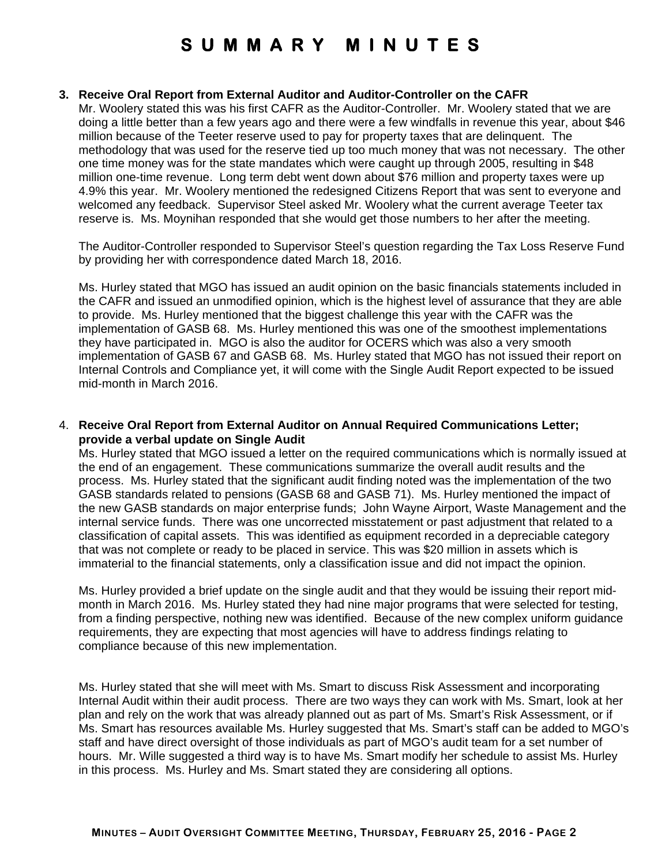#### **3. Receive Oral Report from External Auditor and Auditor-Controller on the CAFR**

Mr. Woolery stated this was his first CAFR as the Auditor-Controller. Mr. Woolery stated that we are doing a little better than a few years ago and there were a few windfalls in revenue this year, about \$46 million because of the Teeter reserve used to pay for property taxes that are delinquent. The methodology that was used for the reserve tied up too much money that was not necessary. The other one time money was for the state mandates which were caught up through 2005, resulting in \$48 million one-time revenue. Long term debt went down about \$76 million and property taxes were up 4.9% this year. Mr. Woolery mentioned the redesigned Citizens Report that was sent to everyone and welcomed any feedback. Supervisor Steel asked Mr. Woolery what the current average Teeter tax reserve is. Ms. Moynihan responded that she would get those numbers to her after the meeting.

The Auditor-Controller responded to Supervisor Steel's question regarding the Tax Loss Reserve Fund by providing her with correspondence dated March 18, 2016.

Ms. Hurley stated that MGO has issued an audit opinion on the basic financials statements included in the CAFR and issued an unmodified opinion, which is the highest level of assurance that they are able to provide. Ms. Hurley mentioned that the biggest challenge this year with the CAFR was the implementation of GASB 68. Ms. Hurley mentioned this was one of the smoothest implementations they have participated in. MGO is also the auditor for OCERS which was also a very smooth implementation of GASB 67 and GASB 68. Ms. Hurley stated that MGO has not issued their report on Internal Controls and Compliance yet, it will come with the Single Audit Report expected to be issued mid-month in March 2016.

#### 4. **Receive Oral Report from External Auditor on Annual Required Communications Letter; provide a verbal update on Single Audit**

Ms. Hurley stated that MGO issued a letter on the required communications which is normally issued at the end of an engagement. These communications summarize the overall audit results and the process. Ms. Hurley stated that the significant audit finding noted was the implementation of the two GASB standards related to pensions (GASB 68 and GASB 71). Ms. Hurley mentioned the impact of the new GASB standards on major enterprise funds; John Wayne Airport, Waste Management and the internal service funds. There was one uncorrected misstatement or past adjustment that related to a classification of capital assets. This was identified as equipment recorded in a depreciable category that was not complete or ready to be placed in service. This was \$20 million in assets which is immaterial to the financial statements, only a classification issue and did not impact the opinion.

Ms. Hurley provided a brief update on the single audit and that they would be issuing their report midmonth in March 2016. Ms. Hurley stated they had nine major programs that were selected for testing, from a finding perspective, nothing new was identified. Because of the new complex uniform guidance requirements, they are expecting that most agencies will have to address findings relating to compliance because of this new implementation.

Ms. Hurley stated that she will meet with Ms. Smart to discuss Risk Assessment and incorporating Internal Audit within their audit process. There are two ways they can work with Ms. Smart, look at her plan and rely on the work that was already planned out as part of Ms. Smart's Risk Assessment, or if Ms. Smart has resources available Ms. Hurley suggested that Ms. Smart's staff can be added to MGO's staff and have direct oversight of those individuals as part of MGO's audit team for a set number of hours. Mr. Wille suggested a third way is to have Ms. Smart modify her schedule to assist Ms. Hurley in this process. Ms. Hurley and Ms. Smart stated they are considering all options.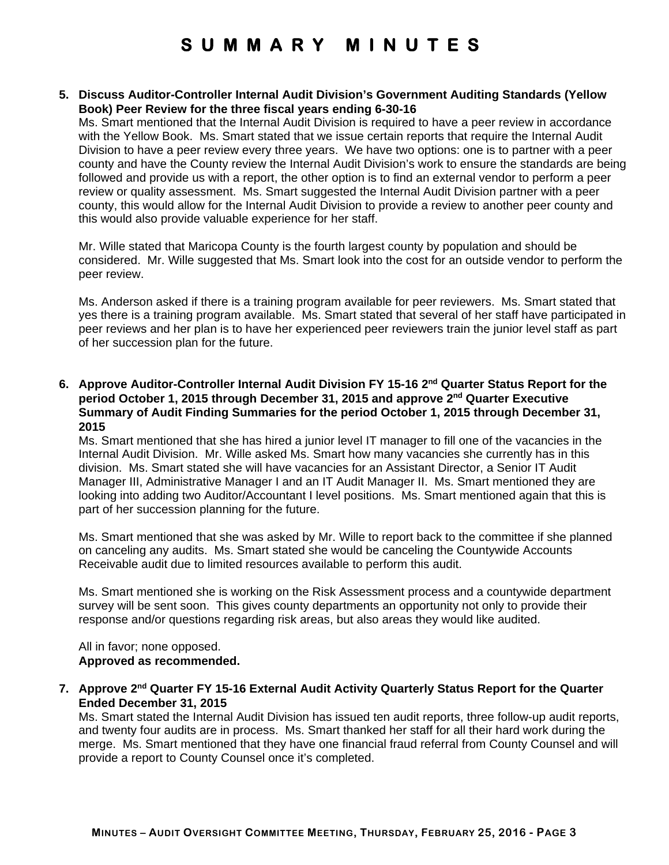**5. Discuss Auditor-Controller Internal Audit Division's Government Auditing Standards (Yellow Book) Peer Review for the three fiscal years ending 6-30-16** 

Ms. Smart mentioned that the Internal Audit Division is required to have a peer review in accordance with the Yellow Book. Ms. Smart stated that we issue certain reports that require the Internal Audit Division to have a peer review every three years. We have two options: one is to partner with a peer county and have the County review the Internal Audit Division's work to ensure the standards are being followed and provide us with a report, the other option is to find an external vendor to perform a peer review or quality assessment. Ms. Smart suggested the Internal Audit Division partner with a peer county, this would allow for the Internal Audit Division to provide a review to another peer county and this would also provide valuable experience for her staff.

Mr. Wille stated that Maricopa County is the fourth largest county by population and should be considered. Mr. Wille suggested that Ms. Smart look into the cost for an outside vendor to perform the peer review.

Ms. Anderson asked if there is a training program available for peer reviewers. Ms. Smart stated that yes there is a training program available. Ms. Smart stated that several of her staff have participated in peer reviews and her plan is to have her experienced peer reviewers train the junior level staff as part of her succession plan for the future.

**6. Approve Auditor-Controller Internal Audit Division FY 15-16 2nd Quarter Status Report for the period October 1, 2015 through December 31, 2015 and approve 2nd Quarter Executive Summary of Audit Finding Summaries for the period October 1, 2015 through December 31, 2015** 

Ms. Smart mentioned that she has hired a junior level IT manager to fill one of the vacancies in the Internal Audit Division. Mr. Wille asked Ms. Smart how many vacancies she currently has in this division. Ms. Smart stated she will have vacancies for an Assistant Director, a Senior IT Audit Manager III, Administrative Manager I and an IT Audit Manager II. Ms. Smart mentioned they are looking into adding two Auditor/Accountant I level positions. Ms. Smart mentioned again that this is part of her succession planning for the future.

Ms. Smart mentioned that she was asked by Mr. Wille to report back to the committee if she planned on canceling any audits. Ms. Smart stated she would be canceling the Countywide Accounts Receivable audit due to limited resources available to perform this audit.

Ms. Smart mentioned she is working on the Risk Assessment process and a countywide department survey will be sent soon. This gives county departments an opportunity not only to provide their response and/or questions regarding risk areas, but also areas they would like audited.

All in favor; none opposed. **Approved as recommended.** 

**7. Approve 2nd Quarter FY 15-16 External Audit Activity Quarterly Status Report for the Quarter Ended December 31, 2015** 

Ms. Smart stated the Internal Audit Division has issued ten audit reports, three follow-up audit reports, and twenty four audits are in process. Ms. Smart thanked her staff for all their hard work during the merge. Ms. Smart mentioned that they have one financial fraud referral from County Counsel and will provide a report to County Counsel once it's completed.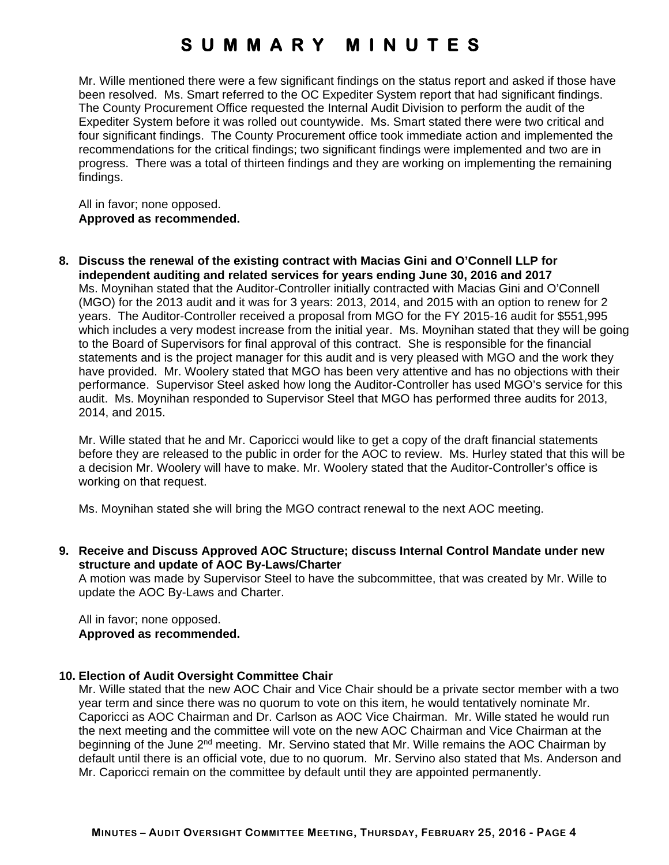Mr. Wille mentioned there were a few significant findings on the status report and asked if those have been resolved. Ms. Smart referred to the OC Expediter System report that had significant findings. The County Procurement Office requested the Internal Audit Division to perform the audit of the Expediter System before it was rolled out countywide. Ms. Smart stated there were two critical and four significant findings. The County Procurement office took immediate action and implemented the recommendations for the critical findings; two significant findings were implemented and two are in progress. There was a total of thirteen findings and they are working on implementing the remaining findings.

All in favor; none opposed. **Approved as recommended.** 

**8. Discuss the renewal of the existing contract with Macias Gini and O'Connell LLP for independent auditing and related services for years ending June 30, 2016 and 2017**  Ms. Moynihan stated that the Auditor-Controller initially contracted with Macias Gini and O'Connell (MGO) for the 2013 audit and it was for 3 years: 2013, 2014, and 2015 with an option to renew for 2 years. The Auditor-Controller received a proposal from MGO for the FY 2015-16 audit for \$551,995 which includes a very modest increase from the initial year. Ms. Moynihan stated that they will be going to the Board of Supervisors for final approval of this contract. She is responsible for the financial statements and is the project manager for this audit and is very pleased with MGO and the work they have provided. Mr. Woolery stated that MGO has been very attentive and has no objections with their performance. Supervisor Steel asked how long the Auditor-Controller has used MGO's service for this audit. Ms. Moynihan responded to Supervisor Steel that MGO has performed three audits for 2013, 2014, and 2015.

Mr. Wille stated that he and Mr. Caporicci would like to get a copy of the draft financial statements before they are released to the public in order for the AOC to review. Ms. Hurley stated that this will be a decision Mr. Woolery will have to make. Mr. Woolery stated that the Auditor-Controller's office is working on that request.

Ms. Moynihan stated she will bring the MGO contract renewal to the next AOC meeting.

**9. Receive and Discuss Approved AOC Structure; discuss Internal Control Mandate under new structure and update of AOC By-Laws/Charter** 

A motion was made by Supervisor Steel to have the subcommittee, that was created by Mr. Wille to update the AOC By-Laws and Charter.

All in favor; none opposed. **Approved as recommended.** 

#### **10. Election of Audit Oversight Committee Chair**

Mr. Wille stated that the new AOC Chair and Vice Chair should be a private sector member with a two year term and since there was no quorum to vote on this item, he would tentatively nominate Mr. Caporicci as AOC Chairman and Dr. Carlson as AOC Vice Chairman. Mr. Wille stated he would run the next meeting and the committee will vote on the new AOC Chairman and Vice Chairman at the beginning of the June 2<sup>nd</sup> meeting. Mr. Servino stated that Mr. Wille remains the AOC Chairman by default until there is an official vote, due to no quorum. Mr. Servino also stated that Ms. Anderson and Mr. Caporicci remain on the committee by default until they are appointed permanently.